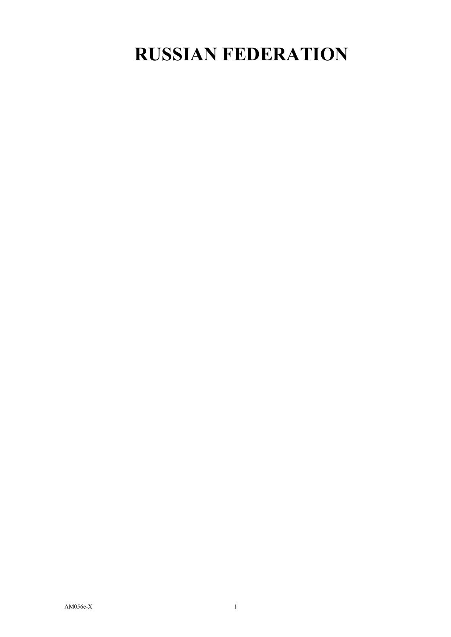## **RUSSIAN FEDERATION**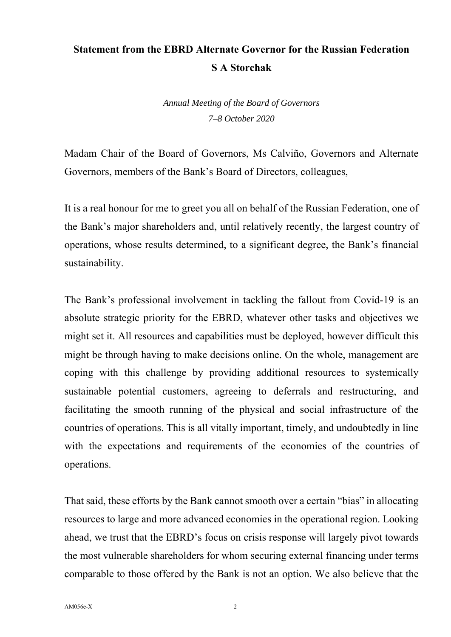## **Statement from the EBRD Alternate Governor for the Russian Federation S A Storchak**

*Annual Meeting of the Board of Governors 7–8 October 2020* 

Madam Chair of the Board of Governors, Ms Calviño, Governors and Alternate Governors, members of the Bank's Board of Directors, colleagues,

It is a real honour for me to greet you all on behalf of the Russian Federation, one of the Bank's major shareholders and, until relatively recently, the largest country of operations, whose results determined, to a significant degree, the Bank's financial sustainability.

The Bank's professional involvement in tackling the fallout from Covid-19 is an absolute strategic priority for the EBRD, whatever other tasks and objectives we might set it. All resources and capabilities must be deployed, however difficult this might be through having to make decisions online. On the whole, management are coping with this challenge by providing additional resources to systemically sustainable potential customers, agreeing to deferrals and restructuring, and facilitating the smooth running of the physical and social infrastructure of the countries of operations. This is all vitally important, timely, and undoubtedly in line with the expectations and requirements of the economies of the countries of operations.

That said, these efforts by the Bank cannot smooth over a certain "bias" in allocating resources to large and more advanced economies in the operational region. Looking ahead, we trust that the EBRD's focus on crisis response will largely pivot towards the most vulnerable shareholders for whom securing external financing under terms comparable to those offered by the Bank is not an option. We also believe that the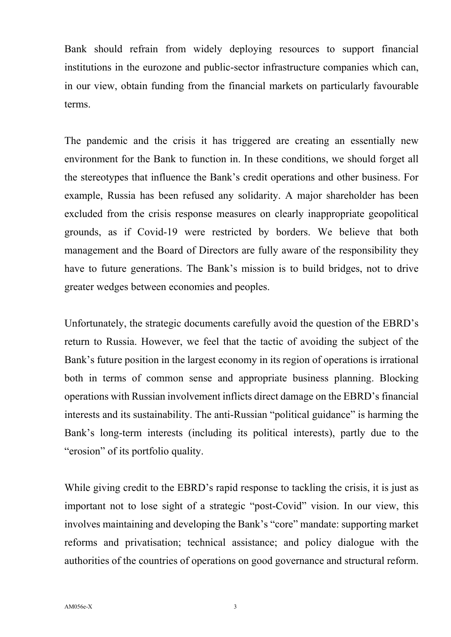Bank should refrain from widely deploying resources to support financial institutions in the eurozone and public-sector infrastructure companies which can, in our view, obtain funding from the financial markets on particularly favourable terms.

The pandemic and the crisis it has triggered are creating an essentially new environment for the Bank to function in. In these conditions, we should forget all the stereotypes that influence the Bank's credit operations and other business. For example, Russia has been refused any solidarity. A major shareholder has been excluded from the crisis response measures on clearly inappropriate geopolitical grounds, as if Covid-19 were restricted by borders. We believe that both management and the Board of Directors are fully aware of the responsibility they have to future generations. The Bank's mission is to build bridges, not to drive greater wedges between economies and peoples.

Unfortunately, the strategic documents carefully avoid the question of the EBRD's return to Russia. However, we feel that the tactic of avoiding the subject of the Bank's future position in the largest economy in its region of operations is irrational both in terms of common sense and appropriate business planning. Blocking operations with Russian involvement inflicts direct damage on the EBRD's financial interests and its sustainability. The anti-Russian "political guidance" is harming the Bank's long-term interests (including its political interests), partly due to the "erosion" of its portfolio quality.

While giving credit to the EBRD's rapid response to tackling the crisis, it is just as important not to lose sight of a strategic "post-Covid" vision. In our view, this involves maintaining and developing the Bank's "core" mandate: supporting market reforms and privatisation; technical assistance; and policy dialogue with the authorities of the countries of operations on good governance and structural reform.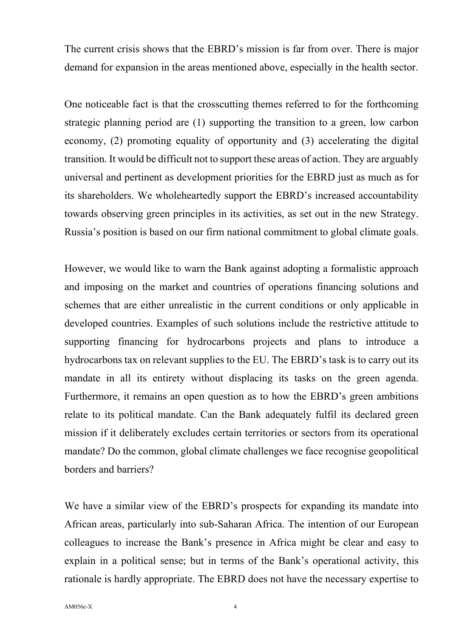The current crisis shows that the EBRD's mission is far from over. There is major demand for expansion in the areas mentioned above, especially in the health sector.

One noticeable fact is that the crosscutting themes referred to for the forthcoming strategic planning period are (1) supporting the transition to a green, low carbon economy, (2) promoting equality of opportunity and (3) accelerating the digital transition. It would be difficult not to support these areas of action. They are arguably universal and pertinent as development priorities for the EBRD just as much as for its shareholders. We wholeheartedly support the EBRD's increased accountability towards observing green principles in its activities, as set out in the new Strategy. Russia's position is based on our firm national commitment to global climate goals.

However, we would like to warn the Bank against adopting a formalistic approach and imposing on the market and countries of operations financing solutions and schemes that are either unrealistic in the current conditions or only applicable in developed countries. Examples of such solutions include the restrictive attitude to supporting financing for hydrocarbons projects and plans to introduce a hydrocarbons tax on relevant supplies to the EU. The EBRD's task is to carry out its mandate in all its entirety without displacing its tasks on the green agenda. Furthermore, it remains an open question as to how the EBRD's green ambitions relate to its political mandate. Can the Bank adequately fulfil its declared green mission if it deliberately excludes certain territories or sectors from its operational mandate? Do the common, global climate challenges we face recognise geopolitical borders and barriers?

We have a similar view of the EBRD's prospects for expanding its mandate into African areas, particularly into sub-Saharan Africa. The intention of our European colleagues to increase the Bank's presence in Africa might be clear and easy to explain in a political sense; but in terms of the Bank's operational activity, this rationale is hardly appropriate. The EBRD does not have the necessary expertise to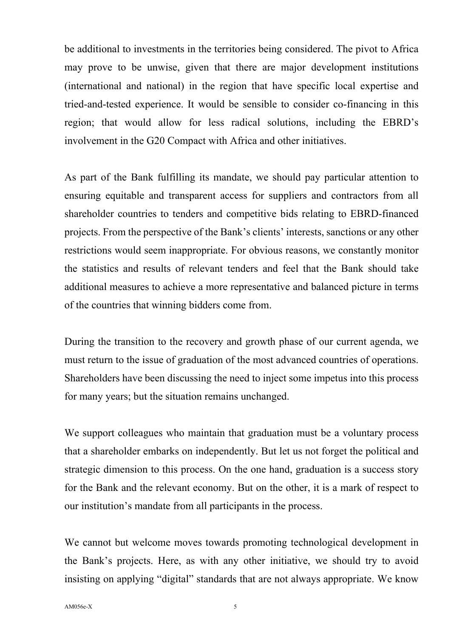be additional to investments in the territories being considered. The pivot to Africa may prove to be unwise, given that there are major development institutions (international and national) in the region that have specific local expertise and tried-and-tested experience. It would be sensible to consider co-financing in this region; that would allow for less radical solutions, including the EBRD's involvement in the G20 Compact with Africa and other initiatives.

As part of the Bank fulfilling its mandate, we should pay particular attention to ensuring equitable and transparent access for suppliers and contractors from all shareholder countries to tenders and competitive bids relating to EBRD-financed projects. From the perspective of the Bank's clients' interests, sanctions or any other restrictions would seem inappropriate. For obvious reasons, we constantly monitor the statistics and results of relevant tenders and feel that the Bank should take additional measures to achieve a more representative and balanced picture in terms of the countries that winning bidders come from.

During the transition to the recovery and growth phase of our current agenda, we must return to the issue of graduation of the most advanced countries of operations. Shareholders have been discussing the need to inject some impetus into this process for many years; but the situation remains unchanged.

We support colleagues who maintain that graduation must be a voluntary process that a shareholder embarks on independently. But let us not forget the political and strategic dimension to this process. On the one hand, graduation is a success story for the Bank and the relevant economy. But on the other, it is a mark of respect to our institution's mandate from all participants in the process.

We cannot but welcome moves towards promoting technological development in the Bank's projects. Here, as with any other initiative, we should try to avoid insisting on applying "digital" standards that are not always appropriate. We know